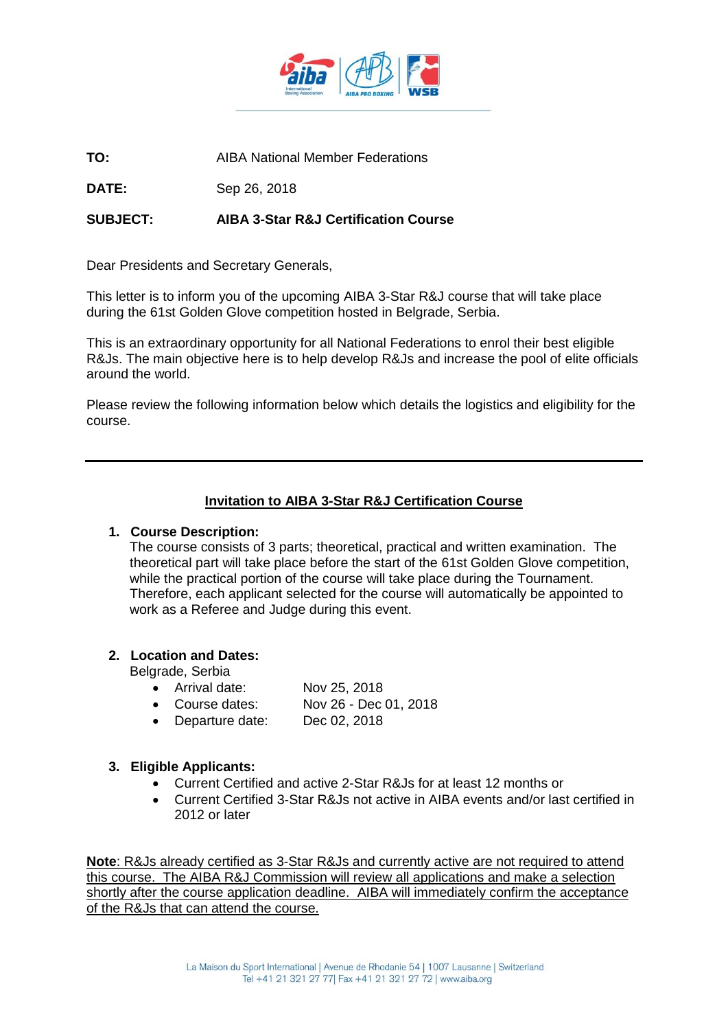

**TO:** AIBA National Member Federations

**DATE:** Sep 26, 2018

# **SUBJECT: AIBA 3-Star R&J Certification Course**

Dear Presidents and Secretary Generals,

This letter is to inform you of the upcoming AIBA 3-Star R&J course that will take place during the 61st Golden Glove competition hosted in Belgrade, Serbia.

This is an extraordinary opportunity for all National Federations to enrol their best eligible R&Js. The main objective here is to help develop R&Js and increase the pool of elite officials around the world.

Please review the following information below which details the logistics and eligibility for the course.

### **Invitation to AIBA 3-Star R&J Certification Course**

#### **1. Course Description:**

The course consists of 3 parts; theoretical, practical and written examination. The theoretical part will take place before the start of the 61st Golden Glove competition, while the practical portion of the course will take place during the Tournament. Therefore, each applicant selected for the course will automatically be appointed to work as a Referee and Judge during this event.

### **2. Location and Dates:**

Belgrade, Serbia

- Arrival date: Nov 25, 2018
- Course dates: Nov 26 Dec 01, 2018
- Departure date: Dec 02, 2018

### **3. Eligible Applicants:**

- Current Certified and active 2-Star R&Js for at least 12 months or
- Current Certified 3-Star R&Js not active in AIBA events and/or last certified in 2012 or later

**Note**: R&Js already certified as 3-Star R&Js and currently active are not required to attend this course. The AIBA R&J Commission will review all applications and make a selection shortly after the course application deadline. AIBA will immediately confirm the acceptance of the R&Js that can attend the course.